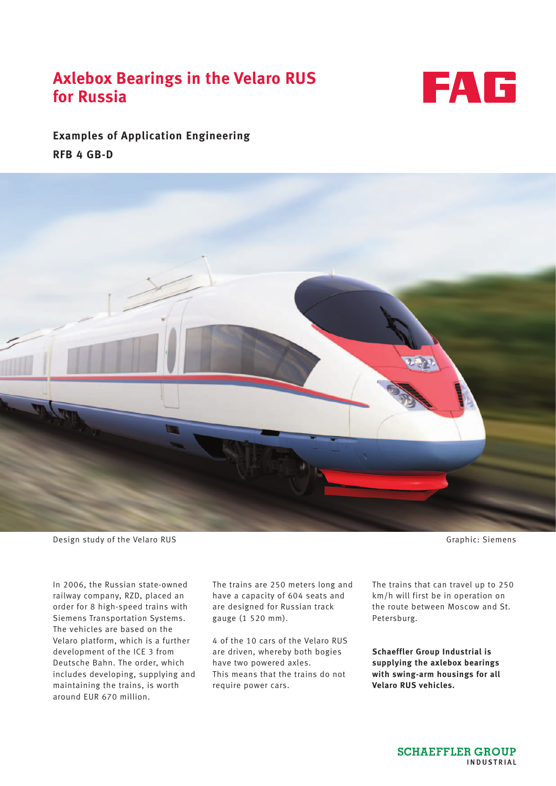# **Axlebox Bearings in the Velaro RUS for Russia**



**Examples of Application Engineering RFB 4 GB-D**



Design study of the Velaro RUS Graphic: Siemens

In 2006, the Russian state-owned railway company, RZD, placed an order for 8 high-speed trains with Siemens Transportation Systems. The vehicles are based on the Velaro platform, which is a further development of the ICE 3 from Deutsche Bahn. The order, which includes developing, supplying and maintaining the trains, is worth around EUR 670 million.

The trains are 250 meters long and have a capacity of 604 seats and are designed for Russian track gauge (1 520 mm).

4 of the 10 cars of the Velaro RUS are driven, whereby both bogies have two powered axles. This means that the trains do not require power cars.

The trains that can travel up to 250 km/h will first be in operation on the route between Moscow and St. Petersburg.

**Schaeffler Group Industrial is supplying the axlebox bearings with swing-arm housings for all Velaro RUS vehicles.**